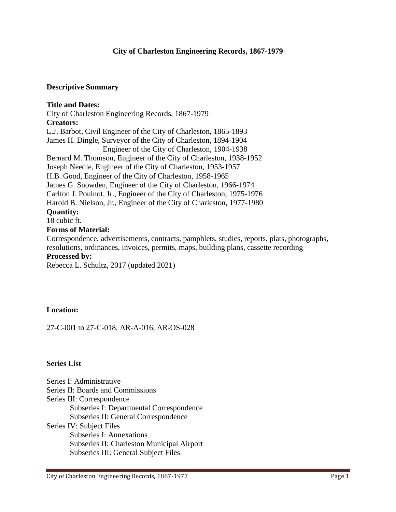### **Descriptive Summary**

**Title and Dates:** City of Charleston Engineering Records, 1867-1979 **Creators:** L.J. Barbot, Civil Engineer of the City of Charleston, 1865-1893 James H. Dingle, Surveyor of the City of Charleston, 1894-1904 Engineer of the City of Charleston, 1904-1938 Bernard M. Thomson, Engineer of the City of Charleston, 1938-1952 Joseph Needle, Engineer of the City of Charleston, 1953-1957 H.B. Good, Engineer of the City of Charleston, 1958-1965 James G. Snowden, Engineer of the City of Charleston, 1966-1974 Carlton J. Poulnot, Jr., Engineer of the City of Charleston, 1975-1976 Harold B. Nielson, Jr., Engineer of the City of Charleston, 1977-1980 **Quantity:** 18 cubic ft. **Forms of Material:** Correspondence, advertisements, contracts, pamphlets, studies, reports, plats, photographs,

resolutions, ordinances, invoices, permits, maps, building plans, cassette recording

**Processed by:**

Rebecca L. Schultz, 2017 (updated 2021)

## **Location:**

27-C-001 to 27-C-018, AR-A-016, AR-OS-028

### **Series List**

Series I: Administrative Series II: Boards and Commissions Series III: Correspondence Subseries I: Departmental Correspondence Subseries II: General Correspondence Series IV: Subject Files Subseries I: Annexations Subseries II: Charleston Municipal Airport Subseries III: General Subject Files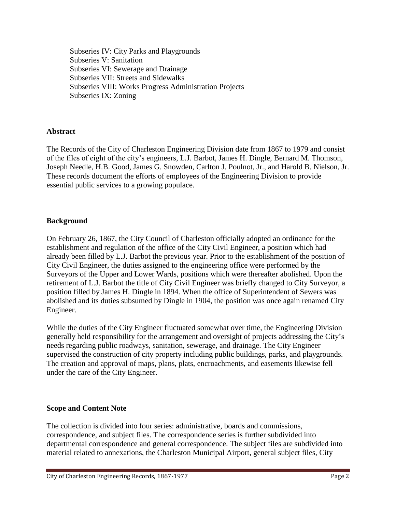Subseries IV: City Parks and Playgrounds Subseries V: Sanitation Subseries VI: Sewerage and Drainage Subseries VII: Streets and Sidewalks Subseries VIII: Works Progress Administration Projects Subseries IX: Zoning

# **Abstract**

The Records of the City of Charleston Engineering Division date from 1867 to 1979 and consist of the files of eight of the city's engineers, L.J. Barbot, James H. Dingle, Bernard M. Thomson, Joseph Needle, H.B. Good, James G. Snowden, Carlton J. Poulnot, Jr., and Harold B. Nielson, Jr. These records document the efforts of employees of the Engineering Division to provide essential public services to a growing populace.

## **Background**

On February 26, 1867, the City Council of Charleston officially adopted an ordinance for the establishment and regulation of the office of the City Civil Engineer, a position which had already been filled by L.J. Barbot the previous year. Prior to the establishment of the position of City Civil Engineer, the duties assigned to the engineering office were performed by the Surveyors of the Upper and Lower Wards, positions which were thereafter abolished. Upon the retirement of L.J. Barbot the title of City Civil Engineer was briefly changed to City Surveyor, a position filled by James H. Dingle in 1894. When the office of Superintendent of Sewers was abolished and its duties subsumed by Dingle in 1904, the position was once again renamed City Engineer.

While the duties of the City Engineer fluctuated somewhat over time, the Engineering Division generally held responsibility for the arrangement and oversight of projects addressing the City's needs regarding public roadways, sanitation, sewerage, and drainage. The City Engineer supervised the construction of city property including public buildings, parks, and playgrounds. The creation and approval of maps, plans, plats, encroachments, and easements likewise fell under the care of the City Engineer.

## **Scope and Content Note**

The collection is divided into four series: administrative, boards and commissions, correspondence, and subject files. The correspondence series is further subdivided into departmental correspondence and general correspondence. The subject files are subdivided into material related to annexations, the Charleston Municipal Airport, general subject files, City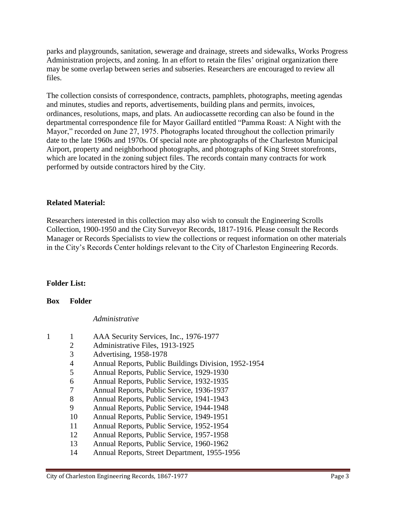parks and playgrounds, sanitation, sewerage and drainage, streets and sidewalks, Works Progress Administration projects, and zoning. In an effort to retain the files' original organization there may be some overlap between series and subseries. Researchers are encouraged to review all files.

The collection consists of correspondence, contracts, pamphlets, photographs, meeting agendas and minutes, studies and reports, advertisements, building plans and permits, invoices, ordinances, resolutions, maps, and plats. An audiocassette recording can also be found in the departmental correspondence file for Mayor Gaillard entitled "Pamma Roast: A Night with the Mayor," recorded on June 27, 1975. Photographs located throughout the collection primarily date to the late 1960s and 1970s. Of special note are photographs of the Charleston Municipal Airport, property and neighborhood photographs, and photographs of King Street storefronts, which are located in the zoning subject files. The records contain many contracts for work performed by outside contractors hired by the City.

## **Related Material:**

Researchers interested in this collection may also wish to consult the Engineering Scrolls Collection, 1900-1950 and the City Surveyor Records, 1817-1916. Please consult the Records Manager or Records Specialists to view the collections or request information on other materials in the City's Records Center holdings relevant to the City of Charleston Engineering Records.

### **Folder List:**

### **Box Folder**

*Administrative*

- 1 1 AAA Security Services, Inc., 1976-1977
	- 2 Administrative Files, 1913-1925
	- 3 Advertising, 1958-1978
	- 4 Annual Reports, Public Buildings Division, 1952-1954
	- 5 Annual Reports, Public Service, 1929-1930
	- 6 Annual Reports, Public Service, 1932-1935
	- 7 Annual Reports, Public Service, 1936-1937
	- 8 Annual Reports, Public Service, 1941-1943
	- 9 Annual Reports, Public Service, 1944-1948
	- 10 Annual Reports, Public Service, 1949-1951
	- 11 Annual Reports, Public Service, 1952-1954
	- 12 Annual Reports, Public Service, 1957-1958
	- 13 Annual Reports, Public Service, 1960-1962
	- 14 Annual Reports, Street Department, 1955-1956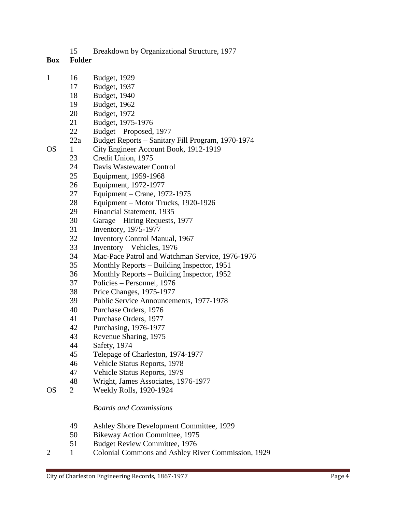Breakdown by Organizational Structure, 1977

# **Box Folder**

- 16 Budget, 1929
	- Budget, 1937
	- Budget, 1940
	- Budget, 1962
	- Budget, 1972
	- Budget, 1975-1976
	- Budget Proposed, 1977
	- 22a Budget Reports Sanitary Fill Program, 1970-1974
- OS 1 City Engineer Account Book, 1912-1919
	- Credit Union, 1975
	- Davis Wastewater Control
	- Equipment, 1959-1968
	- Equipment, 1972-1977
	- Equipment Crane, 1972-1975
	- Equipment Motor Trucks, 1920-1926
	- Financial Statement, 1935
	- Garage Hiring Requests, 1977
	- Inventory, 1975-1977
	- Inventory Control Manual, 1967
	- Inventory Vehicles, 1976
	- 34 Mac-Pace Patrol and Watchman Service, 1976-1976
	- Monthly Reports Building Inspector, 1951
	- Monthly Reports Building Inspector, 1952
	- Policies Personnel, 1976
	- Price Changes, 1975-1977
	- Public Service Announcements, 1977-1978
	- Purchase Orders, 1976
	- Purchase Orders, 1977
	- Purchasing, 1976-1977
	- Revenue Sharing, 1975
	- Safety, 1974
	- Telepage of Charleston, 1974-1977
	- Vehicle Status Reports, 1978
	- Vehicle Status Reports, 1979
	- Wright, James Associates, 1976-1977
- OS 2 Weekly Rolls, 1920-1924

# *Boards and Commissions*

- Ashley Shore Development Committee, 1929
- Bikeway Action Committee, 1975
- Budget Review Committee, 1976
- 2 1 Colonial Commons and Ashley River Commission, 1929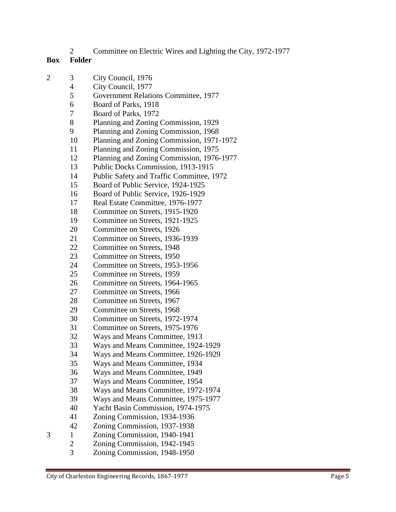## Committee on Electric Wires and Lighting the City, 1972-1977

- 3 City Council, 1976
	- City Council, 1977
	- Government Relations Committee, 1977
	- Board of Parks, 1918
	- Board of Parks, 1972
	- Planning and Zoning Commission, 1929
	- Planning and Zoning Commission, 1968
	- Planning and Zoning Commission, 1971-1972
	- Planning and Zoning Commission, 1975
	- Planning and Zoning Commission, 1976-1977
	- Public Docks Commission, 1913-1915
	- Public Safety and Traffic Committee, 1972
	- Board of Public Service, 1924-1925
	- Board of Public Service, 1926-1929
	- Real Estate Committee, 1976-1977
	- Committee on Streets, 1915-1920
	- Committee on Streets, 1921-1925
	- Committee on Streets, 1926
	- Committee on Streets, 1936-1939
	- Committee on Streets, 1948
	- Committee on Streets, 1950
	- Committee on Streets, 1953-1956
	- Committee on Streets, 1959
	- Committee on Streets, 1964-1965
	- Committee on Streets, 1966
	- Committee on Streets, 1967
	- Committee on Streets, 1968
	- Committee on Streets, 1972-1974
	- Committee on Streets, 1975-1976
	- Ways and Means Committee, 1913
	- Ways and Means Committee, 1924-1929
	- Ways and Means Committee, 1926-1929
	- Ways and Means Committee, 1934
	- Ways and Means Committee, 1949
	- Ways and Means Committee, 1954
	- Ways and Means Committee, 1972-1974
	- Ways and Means Committee, 1975-1977
	- Yacht Basin Commission, 1974-1975
	- Zoning Commission, 1934-1936
- Zoning Commission, 1937-1938
- 1 Zoning Commission, 1940-1941
	- Zoning Commission, 1942-1945
		- Zoning Commission, 1948-1950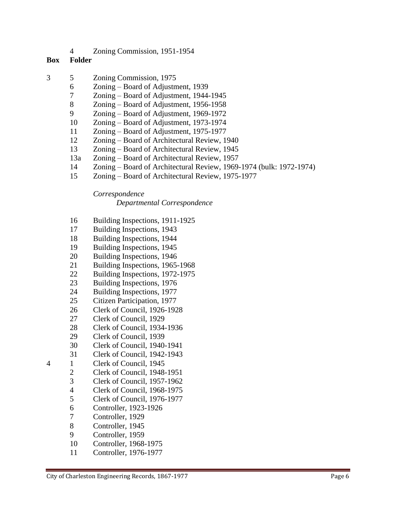Zoning Commission, 1951-1954

### **Box Folder**

- 5 Zoning Commission, 1975
	- Zoning Board of Adjustment, 1939
	- Zoning Board of Adjustment, 1944-1945
	- Zoning Board of Adjustment, 1956-1958
	- Zoning Board of Adjustment, 1969-1972
	- Zoning Board of Adjustment, 1973-1974
	- Zoning Board of Adjustment, 1975-1977
	- Zoning Board of Architectural Review, 1940
	- Zoning Board of Architectural Review, 1945
	- 13a Zoning Board of Architectural Review, 1957
	- Zoning Board of Architectural Review, 1969-1974 (bulk: 1972-1974)
	- Zoning Board of Architectural Review, 1975-1977

*Correspondence*

*Departmental Correspondence*

- Building Inspections, 1911-1925
- Building Inspections, 1943
- Building Inspections, 1944
- Building Inspections, 1945
- Building Inspections, 1946
- Building Inspections, 1965-1968
- Building Inspections, 1972-1975
- Building Inspections, 1976
- Building Inspections, 1977
- Citizen Participation, 1977
- Clerk of Council, 1926-1928
- Clerk of Council, 1929
- Clerk of Council, 1934-1936
- Clerk of Council, 1939
- Clerk of Council, 1940-1941
- Clerk of Council, 1942-1943
- 1 Clerk of Council, 1945
	-
	- 2 Clerk of Council, 1948-1951<br>3 Clerk of Council, 1957-1962 Clerk of Council, 1957-1962
	- Clerk of Council, 1968-1975
	- Clerk of Council, 1976-1977
	- Controller, 1923-1926
	- Controller, 1929
	- Controller, 1945
	- Controller, 1959
	- Controller, 1968-1975
	- Controller, 1976-1977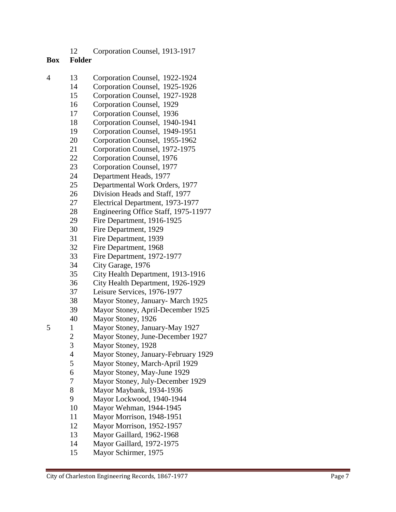## **Box Folder**

- 13 Corporation Counsel, 1922 -1924
	- Corporation Counsel, 1925 -1926
	- Corporation Counsel, 1927 -1928
	- Corporation Counsel, 1929
	- Corporation Counsel, 1936
	- Corporation Counsel, 1940 -1941
	- Corporation Counsel, 1949 -1951
	- Corporation Counsel, 1955 -1962
	- Corporation Counsel, 1972 -1975
	- Corporation Counsel, 1976
	- Corporation Counsel, 1977
	- Department Heads, 1977
	- Departmental Work Orders, 1977
	- Division Heads and Staff, 1977
	- Electrical Department, 1973 -1977
	- Engineering Office Staff, 1975 -11977
	- Fire Department, 1916 -1925
	- Fire Department, 1929
	- Fire Department, 1939
	- Fire Department, 1968
	- Fire Department, 1972 -1977
	- City Garage, 1976
	- City Health Department, 1913 -1916
	- City Health Department, 1926 -1929
	- Leisure Services, 1976 -1977
	- Mayor Stoney, January March 1925
	- Mayor Stoney, April -December 1925
	- Mayor Stoney, 1926

- Mayor Stoney, January -May 1927
- Mayor Stoney, June -December 1927
- Mayor Stoney, 1928
- Mayor Stoney, January -February 1929
- Mayor Stoney, March -April 1929
- Mayor Stoney, May -June 1929
- Mayor Stoney, July -December 1929
- Mayor Maybank, 1934 -1936
- Mayor Lockwood, 1940 -1944
- Mayor Wehman, 1944 -1945
- Mayor Morrison, 1948 -1951
- Mayor Morrison, 1952 -1957
- Mayor Gaillard, 1962 -1968
- Mayor Gaillard, 1972 -1975
- Mayor Schirmer, 1975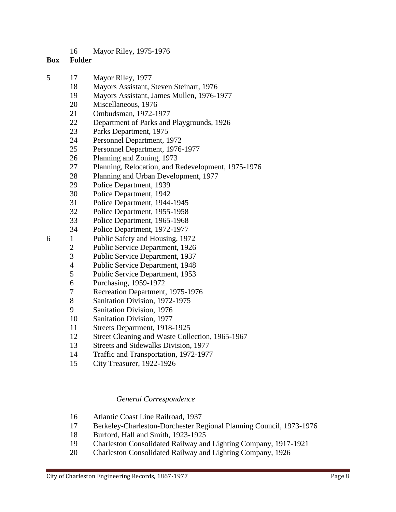Mayor Riley, 1975-1976

### **Box Folder**

- 17 Mayor Riley, 1977
	- Mayors Assistant, Steven Steinart, 1976
	- Mayors Assistant, James Mullen, 1976-1977
	- Miscellaneous, 1976
	- Ombudsman, 1972-1977
	- Department of Parks and Playgrounds, 1926
	- Parks Department, 1975
	- Personnel Department, 1972
	- Personnel Department, 1976-1977
	- Planning and Zoning, 1973
	- Planning, Relocation, and Redevelopment, 1975-1976
	- Planning and Urban Development, 1977
	- Police Department, 1939
	- Police Department, 1942
	- Police Department, 1944-1945
	- Police Department, 1955-1958
	- Police Department, 1965-1968
	- Police Department, 1972-1977
- 1 Public Safety and Housing, 1972
	- Public Service Department, 1926
	- Public Service Department, 1937
	- Public Service Department, 1948
	- Public Service Department, 1953
	- Purchasing, 1959-1972
	- Recreation Department, 1975-1976
	- Sanitation Division, 1972-1975
	- Sanitation Division, 1976
	- Sanitation Division, 1977
	- Streets Department, 1918-1925
	- Street Cleaning and Waste Collection, 1965-1967
	- Streets and Sidewalks Division, 1977
	- Traffic and Transportation, 1972-1977
	- City Treasurer, 1922-1926

### *General Correspondence*

- Atlantic Coast Line Railroad, 1937
- Berkeley-Charleston-Dorchester Regional Planning Council, 1973-1976
- Burford, Hall and Smith, 1923-1925
- Charleston Consolidated Railway and Lighting Company, 1917-1921
- Charleston Consolidated Railway and Lighting Company, 1926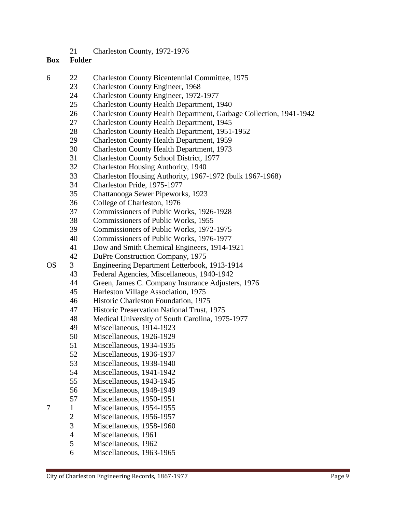Charleston County, 1972-1976

- 22 Charleston County Bicentennial Committee, 1975
	- Charleston County Engineer, 1968
		- Charleston County Engineer, 1972-1977
		- Charleston County Health Department, 1940
		- Charleston County Health Department, Garbage Collection, 1941-1942
		- Charleston County Health Department, 1945
	- Charleston County Health Department, 1951-1952
	- Charleston County Health Department, 1959
	- Charleston County Health Department, 1973
	- Charleston County School District, 1977
	- Charleston Housing Authority, 1940
	- Charleston Housing Authority, 1967-1972 (bulk 1967-1968)
	- Charleston Pride, 1975-1977
	- Chattanooga Sewer Pipeworks, 1923
	- College of Charleston, 1976
	- Commissioners of Public Works, 1926-1928
	- Commissioners of Public Works, 1955
	- Commissioners of Public Works, 1972-1975
	- Commissioners of Public Works, 1976-1977
	- Dow and Smith Chemical Engineers, 1914-1921
	- DuPre Construction Company, 1975
- OS 3 Engineering Department Letterbook, 1913-1914
	- Federal Agencies, Miscellaneous, 1940-1942
	- Green, James C. Company Insurance Adjusters, 1976
	- Harleston Village Association, 1975
	- Historic Charleston Foundation, 1975
	- Historic Preservation National Trust, 1975
	- Medical University of South Carolina, 1975-1977
	- Miscellaneous, 1914-1923
	- Miscellaneous, 1926-1929
	- Miscellaneous, 1934-1935
	- Miscellaneous, 1936-1937
	- Miscellaneous, 1938-1940
	- Miscellaneous, 1941-1942
	- Miscellaneous, 1943-1945
	- Miscellaneous, 1948-1949
	- Miscellaneous, 1950-1951
- 1 Miscellaneous, 1954-1955
	- Miscellaneous, 1956-1957
	- Miscellaneous, 1958-1960
	- Miscellaneous, 1961
	- Miscellaneous, 1962
	- Miscellaneous, 1963-1965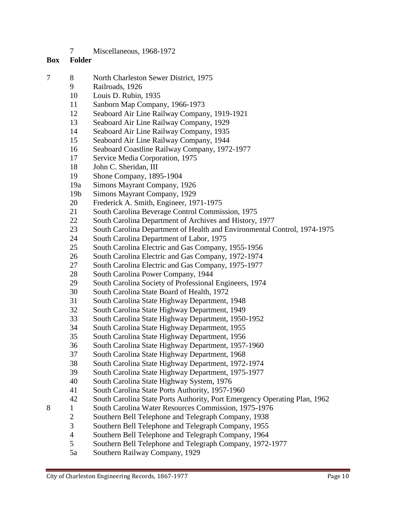Miscellaneous, 1968-1972

- 8 North Charleston Sewer District, 1975
	- Railroads, 1926
	- Louis D. Rubin, 1935
	- Sanborn Map Company, 1966-1973
	- Seaboard Air Line Railway Company, 1919-1921
	- Seaboard Air Line Railway Company, 1929
	- Seaboard Air Line Railway Company, 1935
	- Seaboard Air Line Railway Company, 1944
	- Seaboard Coastline Railway Company, 1972-1977
	- Service Media Corporation, 1975
	- John C. Sheridan, III
	- Shone Company, 1895-1904
	- 19a Simons Mayrant Company, 1926
	- 19b Simons Mayrant Company, 1929
	- Frederick A. Smith, Engineer, 1971-1975
	- South Carolina Beverage Control Commission, 1975
	- 22 South Carolina Department of Archives and History, 1977
	- 23 South Carolina Department of Health and Environmental Control, 1974-1975
	- South Carolina Department of Labor, 1975
	- South Carolina Electric and Gas Company, 1955-1956
	- South Carolina Electric and Gas Company, 1972-1974
	- South Carolina Electric and Gas Company, 1975-1977
	- South Carolina Power Company, 1944
	- South Carolina Society of Professional Engineers, 1974
	- South Carolina State Board of Health, 1972
	- South Carolina State Highway Department, 1948
	- South Carolina State Highway Department, 1949
	- South Carolina State Highway Department, 1950-1952
	- South Carolina State Highway Department, 1955
	- South Carolina State Highway Department, 1956
	- South Carolina State Highway Department, 1957-1960
	- South Carolina State Highway Department, 1968
	- South Carolina State Highway Department, 1972-1974
	- South Carolina State Highway Department, 1975-1977
	- South Carolina State Highway System, 1976
	- South Carolina State Ports Authority, 1957-1960
	- South Carolina State Ports Authority, Port Emergency Operating Plan, 1962
- 8 1 South Carolina Water Resources Commission, 1975-1976
	- Southern Bell Telephone and Telegraph Company, 1938
	- Southern Bell Telephone and Telegraph Company, 1955
	- Southern Bell Telephone and Telegraph Company, 1964
	- Southern Bell Telephone and Telegraph Company, 1972-1977
	- 5a Southern Railway Company, 1929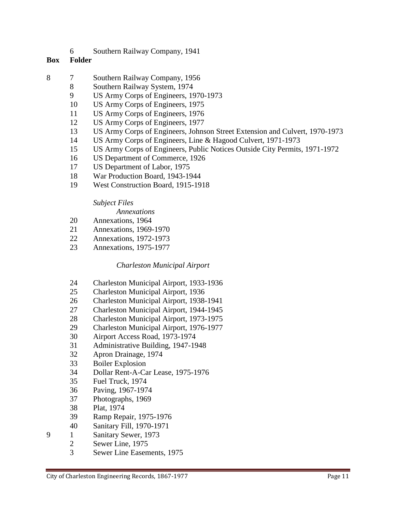Southern Railway Company, 1941

### **Box Folder**

- 7 Southern Railway Company, 1956
	- Southern Railway System, 1974
	- US Army Corps of Engineers, 1970-1973
	- US Army Corps of Engineers, 1975
	- US Army Corps of Engineers, 1976
	- US Army Corps of Engineers, 1977
	- US Army Corps of Engineers, Johnson Street Extension and Culvert, 1970-1973
	- US Army Corps of Engineers, Line & Hagood Culvert, 1971-1973
	- US Army Corps of Engineers, Public Notices Outside City Permits, 1971-1972
	- US Department of Commerce, 1926
	- US Department of Labor, 1975
	- War Production Board, 1943-1944
	- West Construction Board, 1915-1918

# *Subject Files*

*Annexations*

- Annexations, 1964
- Annexations, 1969-1970
- Annexations, 1972-1973
- Annexations, 1975-1977

## *Charleston Municipal Airport*

- Charleston Municipal Airport, 1933-1936
- Charleston Municipal Airport, 1936
- Charleston Municipal Airport, 1938-1941
- Charleston Municipal Airport, 1944-1945
- Charleston Municipal Airport, 1973-1975
- Charleston Municipal Airport, 1976-1977
- Airport Access Road, 1973-1974
- Administrative Building, 1947-1948
- Apron Drainage, 1974
- Boiler Explosion
- Dollar Rent-A-Car Lease, 1975-1976
- Fuel Truck, 1974
- Paving, 1967-1974
- Photographs, 1969
- Plat, 1974
- Ramp Repair, 1975-1976
- Sanitary Fill, 1970-1971
- 1 Sanitary Sewer, 1973
	- Sewer Line, 1975
		- Sewer Line Easements, 1975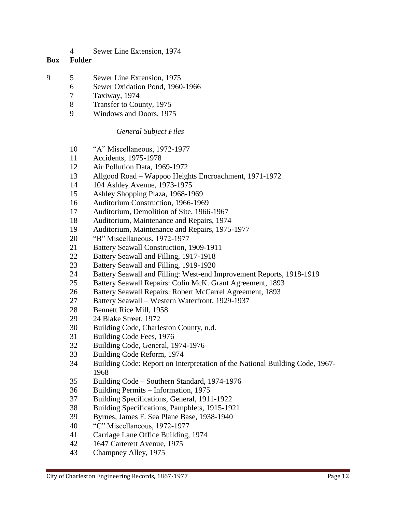Sewer Line Extension, 1974

# **Box Folder**

- 5 Sewer Line Extension, 1975
	- Sewer Oxidation Pond, 1960-1966
	- Taxiway, 1974
	- Transfer to County, 1975
	- Windows and Doors, 1975

# *General Subject Files*

- "A" Miscellaneous, 1972-1977
- Accidents, 1975-1978
- Air Pollution Data, 1969-1972
- Allgood Road Wappoo Heights Encroachment, 1971-1972
- 104 Ashley Avenue, 1973-1975
- Ashley Shopping Plaza, 1968-1969
- Auditorium Construction, 1966-1969
- Auditorium, Demolition of Site, 1966-1967
- Auditorium, Maintenance and Repairs, 1974
- Auditorium, Maintenance and Repairs, 1975-1977
- "B" Miscellaneous, 1972-1977
- Battery Seawall Construction, 1909-1911
- Battery Seawall and Filling, 1917-1918
- Battery Seawall and Filling, 1919-1920
- Battery Seawall and Filling: West-end Improvement Reports, 1918-1919
- Battery Seawall Repairs: Colin McK. Grant Agreement, 1893
- 26 Battery Seawall Repairs: Robert McCarrel Agreement, 1893
- Battery Seawall Western Waterfront, 1929-1937
- Bennett Rice Mill, 1958
- 24 Blake Street, 1972
- Building Code, Charleston County, n.d.
- Building Code Fees, 1976
- Building Code, General, 1974-1976
- Building Code Reform, 1974
- Building Code: Report on Interpretation of the National Building Code, 1967-
- Building Code Southern Standard, 1974-1976
- Building Permits Information, 1975
- Building Specifications, General, 1911-1922
- Building Specifications, Pamphlets, 1915-1921
- Byrnes, James F. Sea Plane Base, 1938-1940
- "C" Miscellaneous, 1972-1977
- Carriage Lane Office Building, 1974
- 1647 Carterett Avenue, 1975
- Champney Alley, 1975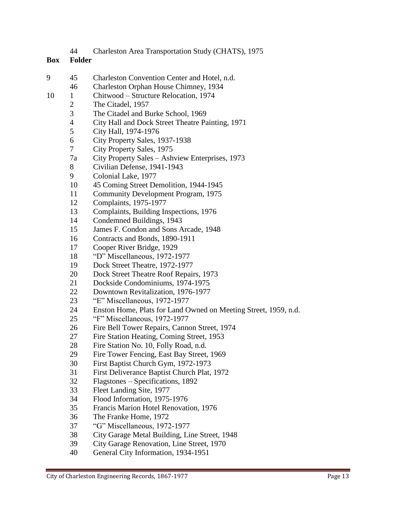| 44 |  | Charleston Area Transportation Study (CHATS), 1975 |  |  |  |
|----|--|----------------------------------------------------|--|--|--|
|----|--|----------------------------------------------------|--|--|--|

- 45 Charleston Convention Center and Hotel, n.d.
	- Charleston Orphan House Chimney, 1934
- 10 1 Chitwood Structure Relocation, 1974
	- 2 The Citadel, 1957
	- The Citadel and Burke School, 1969
	- City Hall and Dock Street Theatre Painting, 1971
	- City Hall, 1974-1976
	- City Property Sales, 1937-1938
	- City Property Sales, 1975
	- 7a City Property Sales Ashview Enterprises, 1973
	- Civilian Defense, 1941-1943
	- Colonial Lake, 1977
	- 45 Coming Street Demolition, 1944-1945
	- Community Development Program, 1975
	- Complaints, 1975-1977
	- Complaints, Building Inspections, 1976
	- Condemned Buildings, 1943
	- James F. Condon and Sons Arcade, 1948
	- Contracts and Bonds, 1890-1911
	- Cooper River Bridge, 1929
	- "D" Miscellaneous, 1972-1977
	- Dock Street Theatre, 1972-1977
	- Dock Street Theatre Roof Repairs, 1973
	- Dockside Condominiums, 1974-1975
	- Downtown Revitalization, 1976-1977
	- "E" Miscellaneous, 1972-1977
	- Enston Home, Plats for Land Owned on Meeting Street, 1959, n.d.
	- "F" Miscellaneous, 1972-1977
	- Fire Bell Tower Repairs, Cannon Street, 1974
	- Fire Station Heating, Coming Street, 1953
	- Fire Station No. 10, Folly Road, n.d.
	- Fire Tower Fencing, East Bay Street, 1969
	- First Baptist Church Gym, 1972-1973
	- First Deliverance Baptist Church Plat, 1972
	- Flagstones Specifications, 1892
	- Fleet Landing Site, 1977
	- Flood Information, 1975-1976
	- Francis Marion Hotel Renovation, 1976
	- The Franke Home, 1972
	- "G" Miscellaneous, 1972-1977
	- City Garage Metal Building, Line Street, 1948
	- City Garage Renovation, Line Street, 1970
	- General City Information, 1934-1951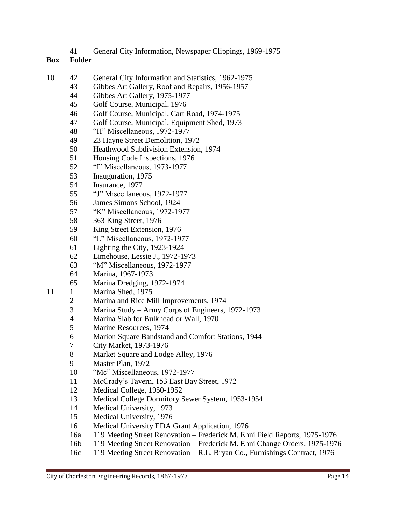General City Information, Newspaper Clippings, 1969-1975

- 42 General City Information and Statistics, 1962-1975
	- Gibbes Art Gallery, Roof and Repairs, 1956-1957
	- Gibbes Art Gallery, 1975-1977
	- Golf Course, Municipal, 1976
	- Golf Course, Municipal, Cart Road, 1974-1975
	- Golf Course, Municipal, Equipment Shed, 1973
	- "H" Miscellaneous, 1972-1977
	- 23 Hayne Street Demolition, 1972
	- Heathwood Subdivision Extension, 1974
	- Housing Code Inspections, 1976
	- "I" Miscellaneous, 1973-1977
	- Inauguration, 1975
	- Insurance, 1977
	- "J" Miscellaneous, 1972-1977
	- James Simons School, 1924
	- "K" Miscellaneous, 1972-1977
	- 363 King Street, 1976
	- King Street Extension, 1976
	- "L" Miscellaneous, 1972-1977
	- Lighting the City, 1923-1924
	- Limehouse, Lessie J., 1972-1973
	- "M" Miscellaneous, 1972-1977
	- Marina, 1967-1973
	- Marina Dredging, 1972-1974
- 11 1 Marina Shed, 1975
	- Marina and Rice Mill Improvements, 1974
	- Marina Study Army Corps of Engineers, 1972-1973
	- Marina Slab for Bulkhead or Wall, 1970
	- Marine Resources, 1974
	- Marion Square Bandstand and Comfort Stations, 1944
	- City Market, 1973-1976
	- 8 Market Square and Lodge Alley, 1976
	- Master Plan, 1972
	- "Mc" Miscellaneous, 1972-1977
	- McCrady's Tavern, 153 East Bay Street, 1972
	- Medical College, 1950-1952
	- Medical College Dormitory Sewer System, 1953-1954
	- Medical University, 1973
	- Medical University, 1976
	- Medical University EDA Grant Application, 1976
	- 16a 119 Meeting Street Renovation Frederick M. Ehni Field Reports, 1975-1976
	- 16b 119 Meeting Street Renovation Frederick M. Ehni Change Orders, 1975-1976
	- 16c 119 Meeting Street Renovation R.L. Bryan Co., Furnishings Contract, 1976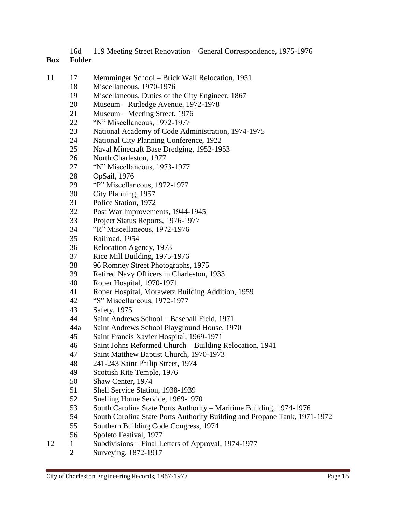16d 119 Meeting Street Renovation – General Correspondence, 1975-1976

- 17 Memminger School Brick Wall Relocation, 1951
	- Miscellaneous, 1970-1976
	- Miscellaneous, Duties of the City Engineer, 1867
	- Museum Rutledge Avenue, 1972-1978
	- Museum Meeting Street, 1976
	- "N" Miscellaneous, 1972-1977
	- National Academy of Code Administration, 1974-1975
	- National City Planning Conference, 1922
	- Naval Minecraft Base Dredging, 1952-1953
	- North Charleston, 1977
	- "N" Miscellaneous, 1973-1977
	- OpSail, 1976
	- "P" Miscellaneous, 1972-1977
	- City Planning, 1957
	- Police Station, 1972
	- Post War Improvements, 1944-1945
	- Project Status Reports, 1976-1977
	- "R" Miscellaneous, 1972-1976
	- Railroad, 1954
	- Relocation Agency, 1973
	- Rice Mill Building, 1975-1976
	- 96 Romney Street Photographs, 1975
	- Retired Navy Officers in Charleston, 1933
	- Roper Hospital, 1970-1971
	- Roper Hospital, Morawetz Building Addition, 1959
	- "S" Miscellaneous, 1972-1977
	- Safety, 1975
	- Saint Andrews School Baseball Field, 1971
	- 44a Saint Andrews School Playground House, 1970
	- Saint Francis Xavier Hospital, 1969-1971
	- Saint Johns Reformed Church Building Relocation, 1941
	- Saint Matthew Baptist Church, 1970-1973
	- 241-243 Saint Philip Street, 1974
	- Scottish Rite Temple, 1976
	- Shaw Center, 1974
	- Shell Service Station, 1938-1939
	- Snelling Home Service, 1969-1970
	- South Carolina State Ports Authority Maritime Building, 1974-1976
	- South Carolina State Ports Authority Building and Propane Tank, 1971-1972
	- Southern Building Code Congress, 1974
	- Spoleto Festival, 1977
- 12 1 Subdivisions Final Letters of Approval, 1974-1977
	- Surveying, 1872-1917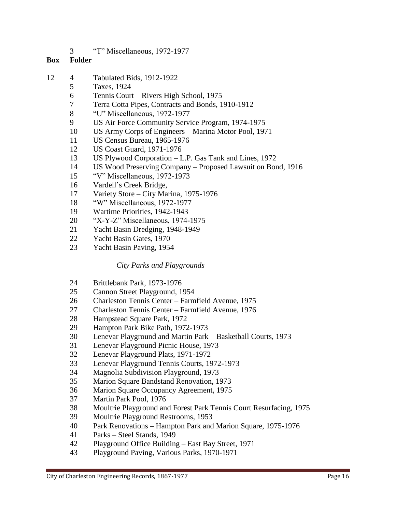"T" Miscellaneous, 1972-1977

## **Box Folder**

- 4 Tabulated Bids, 1912-1922
	- Taxes, 1924
		- Tennis Court Rivers High School, 1975
		- Terra Cotta Pipes, Contracts and Bonds, 1910-1912
		- "U" Miscellaneous, 1972-1977
		- US Air Force Community Service Program, 1974-1975
		- US Army Corps of Engineers Marina Motor Pool, 1971
		- US Census Bureau, 1965-1976
		- US Coast Guard, 1971-1976
		- US Plywood Corporation L.P. Gas Tank and Lines, 1972
		- US Wood Preserving Company Proposed Lawsuit on Bond, 1916
		- "V" Miscellaneous, 1972-1973
		- Vardell's Creek Bridge,
		- Variety Store City Marina, 1975-1976
		- "W" Miscellaneous, 1972-1977
		- Wartime Priorities, 1942-1943
		- "X-Y-Z" Miscellaneous, 1974-1975
		- Yacht Basin Dredging, 1948-1949
		- Yacht Basin Gates, 1970
		- Yacht Basin Paving, 1954

## *City Parks and Playgrounds*

- Brittlebank Park, 1973-1976
- Cannon Street Playground, 1954
- Charleston Tennis Center Farmfield Avenue, 1975
- Charleston Tennis Center Farmfield Avenue, 1976
- Hampstead Square Park, 1972
- Hampton Park Bike Path, 1972-1973
- Lenevar Playground and Martin Park Basketball Courts, 1973
- Lenevar Playground Picnic House, 1973
- Lenevar Playground Plats, 1971-1972
- Lenevar Playground Tennis Courts, 1972-1973
- Magnolia Subdivision Playground, 1973
- Marion Square Bandstand Renovation, 1973
- Marion Square Occupancy Agreement, 1975
- Martin Park Pool, 1976
- Moultrie Playground and Forest Park Tennis Court Resurfacing, 1975
- Moultrie Playground Restrooms, 1953
- Park Renovations Hampton Park and Marion Square, 1975-1976
- Parks Steel Stands, 1949
- Playground Office Building East Bay Street, 1971
- Playground Paving, Various Parks, 1970-1971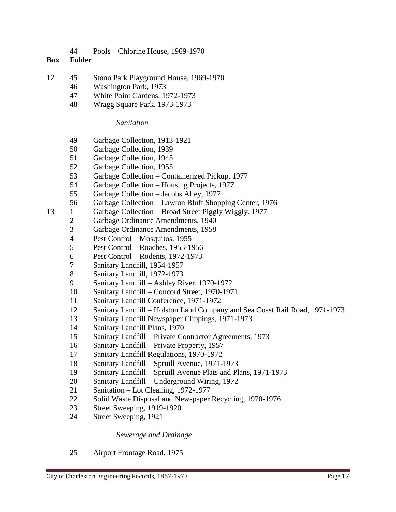Pools – Chlorine House, 1969-1970

## **Box Folder**

- 45 Stono Park Playground House, 1969-1970
	- Washington Park, 1973
	- White Point Gardens, 1972-1973
	- Wragg Square Park, 1973-1973

## *Sanitation*

- Garbage Collection, 1913-1921
- Garbage Collection, 1939
- Garbage Collection, 1945
- Garbage Collection, 1955
- Garbage Collection Containerized Pickup, 1977
- Garbage Collection Housing Projects, 1977
- Garbage Collection Jacobs Alley, 1977
- Garbage Collection Lawton Bluff Shopping Center, 1976
- 13 1 Garbage Collection Broad Street Piggly Wiggly, 1977
	- Garbage Ordinance Amendments, 1940
	- Garbage Ordinance Amendments, 1958
	- Pest Control Mosquitos, 1955
	- Pest Control Roaches, 1953-1956
	- Pest Control Rodents, 1972-1973
	- Sanitary Landfill, 1954-1957
	- Sanitary Landfill, 1972-1973
	- Sanitary Landfill Ashley River, 1970-1972
	- Sanitary Landfill Concord Street, 1970-1971
	- Sanitary Landfill Conference, 1971-1972
	- Sanitary Landfill Holston Land Company and Sea Coast Rail Road, 1971-1973
	- Sanitary Landfill Newspaper Clippings, 1971-1973
	- Sanitary Landfill Plans, 1970
	- Sanitary Landfill Private Contractor Agreements, 1973
	- Sanitary Landfill Private Property, 1957
	- Sanitary Landfill Regulations, 1970-1972
	- Sanitary Landfill Spruill Avenue, 1971-1973
	- Sanitary Landfill Spruill Avenue Plats and Plans, 1971-1973
	- Sanitary Landfill Underground Wiring, 1972
	- Sanitation Lot Cleaning, 1972-1977
	- Solid Waste Disposal and Newspaper Recycling, 1970-1976
	- Street Sweeping, 1919-1920
	- Street Sweeping, 1921

## *Sewerage and Drainage*

Airport Frontage Road, 1975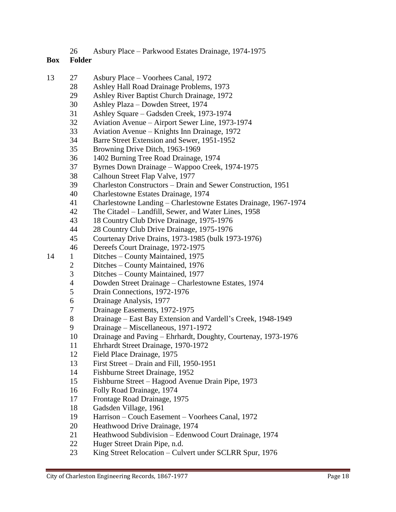Asbury Place – Parkwood Estates Drainage, 1974-1975

- 27 Asbury Place Voorhees Canal, 1972
	- Ashley Hall Road Drainage Problems, 1973
	- Ashley River Baptist Church Drainage, 1972
	- Ashley Plaza Dowden Street, 1974
	- Ashley Square Gadsden Creek, 1973-1974
	- Aviation Avenue Airport Sewer Line, 1973-1974
	- Aviation Avenue Knights Inn Drainage, 1972
	- Barre Street Extension and Sewer, 1951-1952
	- Browning Drive Ditch, 1963-1969
	- 1402 Burning Tree Road Drainage, 1974
	- Byrnes Down Drainage Wappoo Creek, 1974-1975
	- Calhoun Street Flap Valve, 1977
	- Charleston Constructors Drain and Sewer Construction, 1951
	- Charlestowne Estates Drainage, 1974
	- Charlestowne Landing Charlestowne Estates Drainage, 1967-1974
	- The Citadel Landfill, Sewer, and Water Lines, 1958
	- 18 Country Club Drive Drainage, 1975-1976
	- 28 Country Club Drive Drainage, 1975-1976
	- Courtenay Drive Drains, 1973-1985 (bulk 1973-1976)
	- Dereefs Court Drainage, 1972-1975
- 14 1 Ditches County Maintained, 1975
	- Ditches County Maintained, 1976
	- Ditches County Maintained, 1977
	- Dowden Street Drainage Charlestowne Estates, 1974
	- Drain Connections, 1972-1976
	- Drainage Analysis, 1977
	- Drainage Easements, 1972-1975
	- Drainage East Bay Extension and Vardell's Creek, 1948-1949
	- Drainage Miscellaneous, 1971-1972
	- Drainage and Paving Ehrhardt, Doughty, Courtenay, 1973-1976
	- Ehrhardt Street Drainage, 1970-1972
	- Field Place Drainage, 1975
	- First Street Drain and Fill, 1950-1951
	- Fishburne Street Drainage, 1952
	- Fishburne Street Hagood Avenue Drain Pipe, 1973
	- Folly Road Drainage, 1974
	- Frontage Road Drainage, 1975
	- Gadsden Village, 1961
	- Harrison Couch Easement Voorhees Canal, 1972
	- Heathwood Drive Drainage, 1974
	- Heathwood Subdivision Edenwood Court Drainage, 1974
	- Huger Street Drain Pipe, n.d.
	- King Street Relocation Culvert under SCLRR Spur, 1976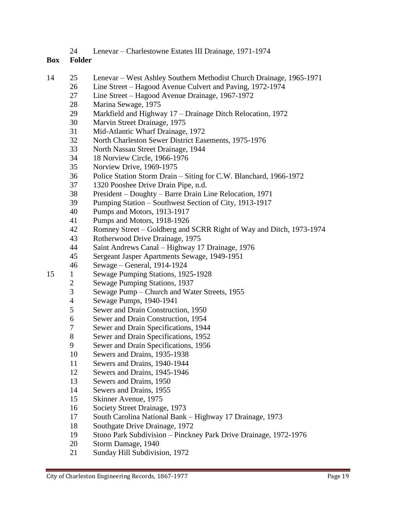Lenevar – Charlestowne Estates III Drainage, 1971-1974

- 25 Lenevar West Ashley Southern Methodist Church Drainage, 1965-1971
	- Line Street Hagood Avenue Culvert and Paving, 1972-1974
		- Line Street Hagood Avenue Drainage, 1967-1972
		- Marina Sewage, 1975
		- Markfield and Highway 17 Drainage Ditch Relocation, 1972
		- Marvin Street Drainage, 1975
		- Mid-Atlantic Wharf Drainage, 1972
		- North Charleston Sewer District Easements, 1975-1976
		- North Nassau Street Drainage, 1944
		- 18 Norview Circle, 1966-1976
		- Norview Drive, 1969-1975
		- Police Station Storm Drain Siting for C.W. Blanchard, 1966-1972
		- 1320 Pooshee Drive Drain Pipe, n.d.
		- President Doughty Barre Drain Line Relocation, 1971
		- Pumping Station Southwest Section of City, 1913-1917
		- Pumps and Motors, 1913-1917
		- Pumps and Motors, 1918-1926
		- Romney Street Goldberg and SCRR Right of Way and Ditch, 1973-1974
		- Rotherwood Drive Drainage, 1975
		- Saint Andrews Canal Highway 17 Drainage, 1976
	- Sergeant Jasper Apartments Sewage, 1949-1951
	- Sewage General, 1914-1924
- 15 1 Sewage Pumping Stations, 1925-1928
	- Sewage Pumping Stations, 1937
		- Sewage Pump Church and Water Streets, 1955
		- Sewage Pumps, 1940-1941
		- Sewer and Drain Construction, 1950
		- Sewer and Drain Construction, 1954
		- Sewer and Drain Specifications, 1944
		- Sewer and Drain Specifications, 1952
		- Sewer and Drain Specifications, 1956
		- Sewers and Drains, 1935-1938
		- Sewers and Drains, 1940-1944
		- Sewers and Drains, 1945-1946
		- Sewers and Drains, 1950
		- Sewers and Drains, 1955
		- Skinner Avenue, 1975
		- Society Street Drainage, 1973
		- South Carolina National Bank Highway 17 Drainage, 1973
		- Southgate Drive Drainage, 1972
		- Stono Park Subdivision Pinckney Park Drive Drainage, 1972-1976
		- Storm Damage, 1940
		- Sunday Hill Subdivision, 1972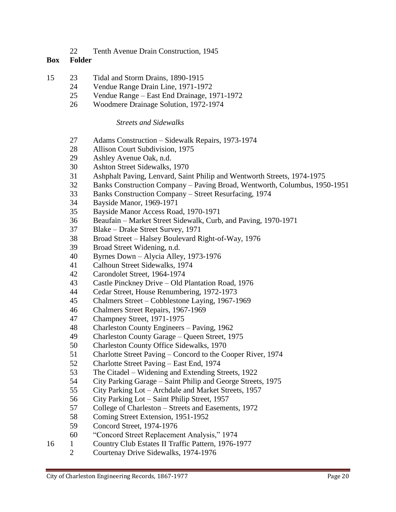Tenth Avenue Drain Construction, 1945

### **Box Folder**

- 23 Tidal and Storm Drains, 1890-1915
	- Vendue Range Drain Line, 1971-1972
	- Vendue Range East End Drainage, 1971-1972
	- Woodmere Drainage Solution, 1972-1974

## *Streets and Sidewalks*

- Adams Construction Sidewalk Repairs, 1973-1974
- Allison Court Subdivision, 1975
- Ashley Avenue Oak, n.d.
- Ashton Street Sidewalks, 1970
- Ashphalt Paving, Lenvard, Saint Philip and Wentworth Streets, 1974-1975
- Banks Construction Company Paving Broad, Wentworth, Columbus, 1950-1951
- Banks Construction Company Street Resurfacing, 1974
- Bayside Manor, 1969-1971
- Bayside Manor Access Road, 1970-1971
- Beaufain Market Street Sidewalk, Curb, and Paving, 1970-1971
- Blake Drake Street Survey, 1971
- Broad Street Halsey Boulevard Right-of-Way, 1976
- Broad Street Widening, n.d.
- Byrnes Down Alycia Alley, 1973-1976
- Calhoun Street Sidewalks, 1974
- Carondolet Street, 1964-1974
- Castle Pinckney Drive Old Plantation Road, 1976
- Cedar Street, House Renumbering, 1972-1973
- Chalmers Street Cobblestone Laying, 1967-1969
- Chalmers Street Repairs, 1967-1969
- Champney Street, 1971-1975
- Charleston County Engineers Paving, 1962
- Charleston County Garage Queen Street, 1975
- Charleston County Office Sidewalks, 1970
- Charlotte Street Paving Concord to the Cooper River, 1974
- Charlotte Street Paving East End, 1974
- The Citadel Widening and Extending Streets, 1922
- City Parking Garage Saint Philip and George Streets, 1975
- City Parking Lot Archdale and Market Streets, 1957
- City Parking Lot Saint Philip Street, 1957
- College of Charleston Streets and Easements, 1972
- Coming Street Extension, 1951-1952
- Concord Street, 1974-1976
- "Concord Street Replacement Analysis," 1974
- 16 1 Country Club Estates II Traffic Pattern, 1976-1977
	- Courtenay Drive Sidewalks, 1974-1976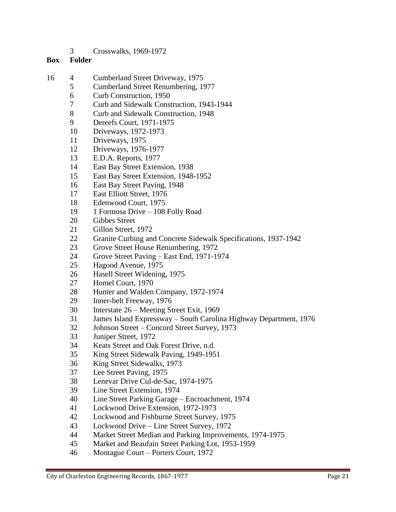Crosswalks, 1969-1972

- 4 Cumberland Street Driveway, 1975
	- Cumberland Street Renumbering, 1977
	- Curb Construction, 1950
	- Curb and Sidewalk Construction, 1943-1944
	- Curb and Sidewalk Construction, 1948
	- Dereefs Court, 1971-1975
	- Driveways, 1972-1973
	- Driveways, 1975
	- Driveways, 1976-1977
	- E.D.A. Reports, 1977
	- East Bay Street Extension, 1938
	- East Bay Street Extension, 1948-1952
	- East Bay Street Paving, 1948
	- East Elliott Street, 1976
	- Edenwood Court, 1975
	- 1 Formosa Drive 108 Folly Road
	- Gibbes Street
	- Gillon Street, 1972
	- Granite Curbing and Concrete Sidewalk Specifications, 1937-1942
	- Grove Street House Renumbering, 1972
	- Grove Street Paving East End, 1971-1974
	- Hagood Avenue, 1975
	- Hasell Street Widening, 1975
	- Homel Court, 1970
	- Hunter and Walden Company, 1972-1974
	- Inner-belt Freeway, 1976
	- Interstate 26 Meeting Street Exit, 1969
	- James Island Expressway South Carolina Highway Department, 1976
	- Johnson Street Concord Street Survey, 1973
	- Juniper Street, 1972
	- Keats Street and Oak Forest Drive, n.d.
	- King Street Sidewalk Paving, 1949-1951
	- King Street Sidewalks, 1973
	- Lee Street Paving, 1975
	- Lenevar Drive Cul-de-Sac, 1974-1975
	- Line Street Extension, 1974
	- Line Street Parking Garage Encroachment, 1974
	- Lockwood Drive Extension, 1972-1973
	- Lockwood and Fishburne Street Survey, 1975
	- Lockwood Drive Line Street Survey, 1972
	- Market Street Median and Parking Improvements, 1974-1975
	- Market and Beaufain Street Parking Lot, 1953-1959
	- Montague Court Porters Court, 1972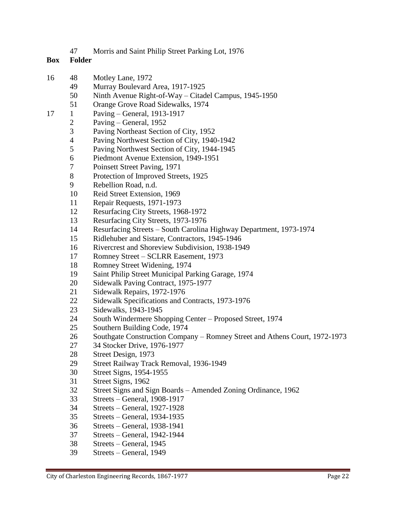Morris and Saint Philip Street Parking Lot, 1976

- 48 Motley Lane, 1972
	- Murray Boulevard Area, 1917-1925
	- Ninth Avenue Right-of-Way Citadel Campus, 1945-1950
	- Orange Grove Road Sidewalks, 1974
- 1 Paving General, 1913-1917
	- Paving General, 1952
		- Paving Northeast Section of City, 1952
		- Paving Northwest Section of City, 1940-1942
		- Paving Northwest Section of City, 1944-1945
		- Piedmont Avenue Extension, 1949-1951
		- Poinsett Street Paving, 1971
		- Protection of Improved Streets, 1925
		- Rebellion Road, n.d.
		- Reid Street Extension, 1969
		- Repair Requests, 1971-1973
		- Resurfacing City Streets, 1968-1972
		- Resurfacing City Streets, 1973-1976
		- Resurfacing Streets South Carolina Highway Department, 1973-1974
		- Ridlehuber and Sistare, Contractors, 1945-1946
		- Rivercrest and Shoreview Subdivision, 1938-1949
		- Romney Street SCLRR Easement, 1973
		- Romney Street Widening, 1974
		- Saint Philip Street Municipal Parking Garage, 1974
		- Sidewalk Paving Contract, 1975-1977
		- Sidewalk Repairs, 1972-1976
		- Sidewalk Specifications and Contracts, 1973-1976
		- Sidewalks, 1943-1945
		- South Windermere Shopping Center Proposed Street, 1974
		- Southern Building Code, 1974
		- Southgate Construction Company Romney Street and Athens Court, 1972-1973
		- 34 Stocker Drive, 1976-1977
		- Street Design, 1973
		- Street Railway Track Removal, 1936-1949
		- Street Signs, 1954-1955
		- Street Signs, 1962
		- Street Signs and Sign Boards Amended Zoning Ordinance, 1962
		- Streets General, 1908-1917
		- Streets General, 1927-1928
		- Streets General, 1934-1935
		- Streets General, 1938-1941
		- Streets General, 1942-1944
		- Streets General, 1945
		- Streets General, 1949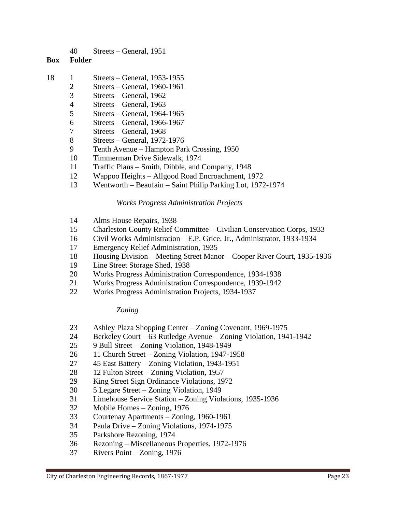Streets – General, 1951

# **Box Folder**

- 18 1 Streets General, 1953-1955
	- Streets General, 1960-1961
	- Streets General, 1962
	- Streets General, 1963
	- Streets General, 1964-1965
	- Streets General, 1966-1967
	- Streets General, 1968
	- Streets General, 1972-1976
	- Tenth Avenue Hampton Park Crossing, 1950
	- Timmerman Drive Sidewalk, 1974
	- Traffic Plans Smith, Dibble, and Company, 1948
	- Wappoo Heights Allgood Road Encroachment, 1972
	- Wentworth Beaufain Saint Philip Parking Lot, 1972-1974

## *Works Progress Administration Projects*

- Alms House Repairs, 1938
- Charleston County Relief Committee Civilian Conservation Corps, 1933
- Civil Works Administration E.P. Grice, Jr., Administrator, 1933-1934
- Emergency Relief Administration, 1935
- Housing Division Meeting Street Manor Cooper River Court, 1935-1936
- Line Street Storage Shed, 1938
- Works Progress Administration Correspondence, 1934-1938
- Works Progress Administration Correspondence, 1939-1942
- Works Progress Administration Projects, 1934-1937

## *Zoning*

- Ashley Plaza Shopping Center Zoning Covenant, 1969-1975
- Berkeley Court 63 Rutledge Avenue Zoning Violation, 1941-1942
- 9 Bull Street Zoning Violation, 1948-1949
- 11 Church Street Zoning Violation, 1947-1958
- 45 East Battery Zoning Violation, 1943-1951
- 12 Fulton Street Zoning Violation, 1957
- King Street Sign Ordinance Violations, 1972
- 5 Legare Street Zoning Violation, 1949
- Limehouse Service Station Zoning Violations, 1935-1936
- Mobile Homes Zoning, 1976
- Courtenay Apartments Zoning, 1960-1961
- Paula Drive Zoning Violations, 1974-1975
- Parkshore Rezoning, 1974
- Rezoning Miscellaneous Properties, 1972-1976
- Rivers Point Zoning, 1976